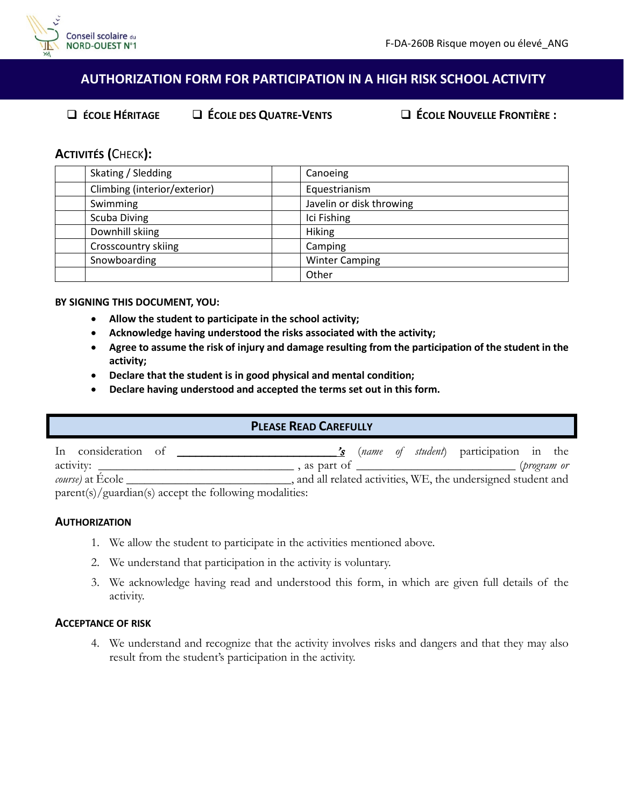

# **AUTHORIZATION FORM FOR PARTICIPATION IN A HIGH RISK SCHOOL ACTIVITY**

**ÉCOLE HÉRITAGE ÉCOLE DES QUATRE-VENTS ÉCOLE NOUVELLE FRONTIÈRE :**

## **ACTIVITÉS (**CHECK**):**

| Skating / Sledding           | Canoeing                 |
|------------------------------|--------------------------|
| Climbing (interior/exterior) | Equestrianism            |
| Swimming                     | Javelin or disk throwing |
| <b>Scuba Diving</b>          | Ici Fishing              |
| Downhill skiing              | <b>Hiking</b>            |
| <b>Crosscountry skiing</b>   | Camping                  |
| Snowboarding                 | <b>Winter Camping</b>    |
|                              | Other                    |

## **BY SIGNING THIS DOCUMENT, YOU:**

- **Allow the student to participate in the school activity;**
- **Acknowledge having understood the risks associated with the activity;**
- **Agree to assume the risk of injury and damage resulting from the participation of the student in the activity;**
- **Declare that the student is in good physical and mental condition;**
- **Declare having understood and accepted the terms set out in this form.**

## **PLEASE READ CAREFULLY**

| In consideration of      |                                                          |  |  | $\mathbf{\dot{s}}$ ( <i>name of student</i> ) participation in the |             |
|--------------------------|----------------------------------------------------------|--|--|--------------------------------------------------------------------|-------------|
|                          |                                                          |  |  |                                                                    | (program or |
| <i>course</i> ) at Ecole |                                                          |  |  | , and all related activities, WE, the undersigned student and      |             |
|                          | $parent(s)/guardian(s)$ accept the following modalities: |  |  |                                                                    |             |

#### **AUTHORIZATION**

- 1. We allow the student to participate in the activities mentioned above.
- 2. We understand that participation in the activity is voluntary.
- 3. We acknowledge having read and understood this form, in which are given full details of the activity.

#### **ACCEPTANCE OF RISK**

4. We understand and recognize that the activity involves risks and dangers and that they may also result from the student's participation in the activity.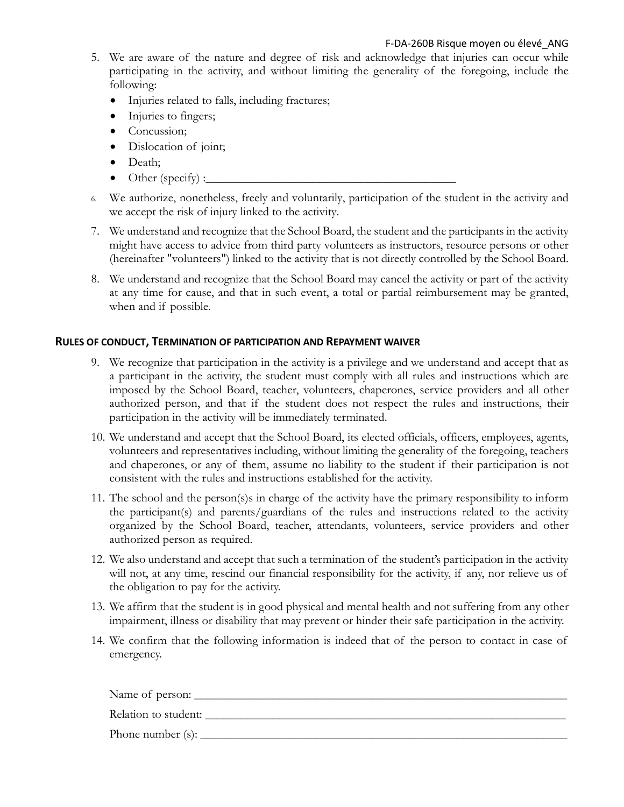- 5. We are aware of the nature and degree of risk and acknowledge that injuries can occur while participating in the activity, and without limiting the generality of the foregoing, include the following:
	- Injuries related to falls, including fractures;
	- Injuries to fingers;
	- Concussion;
	- Dislocation of joint;
	- Death;
	- $\bullet$  Other (specify) : $\qquad \qquad$
- 6. We authorize, nonetheless, freely and voluntarily, participation of the student in the activity and we accept the risk of injury linked to the activity.
- 7. We understand and recognize that the School Board, the student and the participants in the activity might have access to advice from third party volunteers as instructors, resource persons or other (hereinafter "volunteers") linked to the activity that is not directly controlled by the School Board.
- 8. We understand and recognize that the School Board may cancel the activity or part of the activity at any time for cause, and that in such event, a total or partial reimbursement may be granted, when and if possible.

## **RULES OF CONDUCT, TERMINATION OF PARTICIPATION AND REPAYMENT WAIVER**

- 9. We recognize that participation in the activity is a privilege and we understand and accept that as a participant in the activity, the student must comply with all rules and instructions which are imposed by the School Board, teacher, volunteers, chaperones, service providers and all other authorized person, and that if the student does not respect the rules and instructions, their participation in the activity will be immediately terminated.
- 10. We understand and accept that the School Board, its elected officials, officers, employees, agents, volunteers and representatives including, without limiting the generality of the foregoing, teachers and chaperones, or any of them, assume no liability to the student if their participation is not consistent with the rules and instructions established for the activity.
- 11. The school and the person(s)s in charge of the activity have the primary responsibility to inform the participant(s) and parents/guardians of the rules and instructions related to the activity organized by the School Board, teacher, attendants, volunteers, service providers and other authorized person as required.
- 12. We also understand and accept that such a termination of the student's participation in the activity will not, at any time, rescind our financial responsibility for the activity, if any, nor relieve us of the obligation to pay for the activity.
- 13. We affirm that the student is in good physical and mental health and not suffering from any other impairment, illness or disability that may prevent or hinder their safe participation in the activity.
- 14. We confirm that the following information is indeed that of the person to contact in case of emergency.

Name of person:

Relation to student: \_\_\_\_\_\_\_\_\_\_\_\_\_\_\_\_\_\_\_\_\_\_\_\_\_\_\_\_\_\_\_\_\_\_\_\_\_\_\_\_\_\_\_\_\_\_\_\_\_\_\_\_\_\_\_\_\_\_\_

Phone number (s): \_\_\_\_\_\_\_\_\_\_\_\_\_\_\_\_\_\_\_\_\_\_\_\_\_\_\_\_\_\_\_\_\_\_\_\_\_\_\_\_\_\_\_\_\_\_\_\_\_\_\_\_\_\_\_\_\_\_\_\_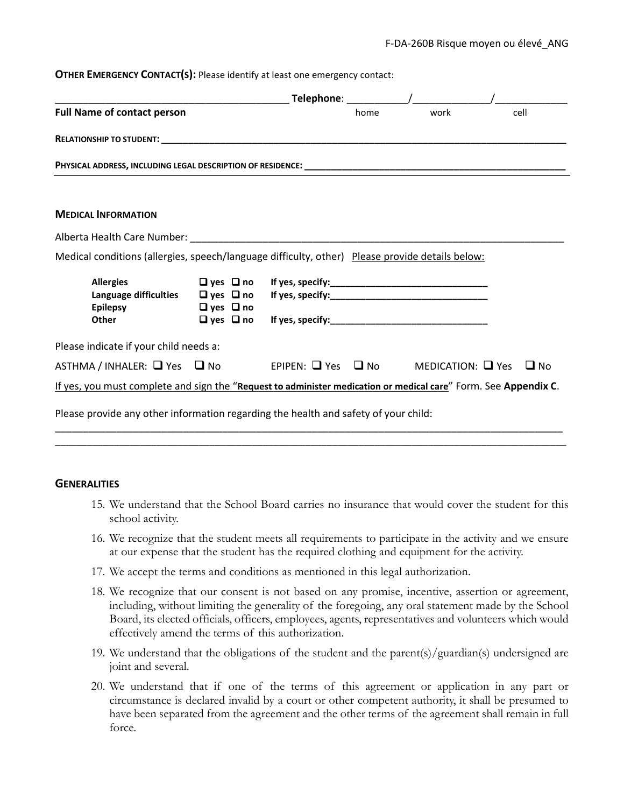#### **OTHER EMERGENCY CONTACT(S):** Please identify at least one emergency contact:

| <b>Full Name of contact person</b>                                                                                                                    |  |  | home | work                   | cell      |
|-------------------------------------------------------------------------------------------------------------------------------------------------------|--|--|------|------------------------|-----------|
|                                                                                                                                                       |  |  |      |                        |           |
|                                                                                                                                                       |  |  |      |                        |           |
|                                                                                                                                                       |  |  |      |                        |           |
| <b>MEDICAL INFORMATION</b>                                                                                                                            |  |  |      |                        |           |
|                                                                                                                                                       |  |  |      |                        |           |
| Medical conditions (allergies, speech/language difficulty, other) Please provide details below:                                                       |  |  |      |                        |           |
| <b>Allergies</b><br>Language difficulties □ yes □ no If yes, specify: ______________________________<br>Epilepsy $\Box$ yes $\Box$ no<br><b>Other</b> |  |  |      |                        |           |
| Please indicate if your child needs a:                                                                                                                |  |  |      |                        |           |
| $ASTHMA / INHALER: \square Yes \square No \square PIPEN: \square Yes \square No$                                                                      |  |  |      | MEDICATION: $\Box$ Yes | $\Box$ No |
| If yes, you must complete and sign the "Request to administer medication or medical care" Form. See Appendix C.                                       |  |  |      |                        |           |
| Please provide any other information regarding the health and safety of your child:                                                                   |  |  |      |                        |           |

\_\_\_\_\_\_\_\_\_\_\_\_\_\_\_\_\_\_\_\_\_\_\_\_\_\_\_\_\_\_\_\_\_\_\_\_\_\_\_\_\_\_\_\_\_\_\_\_\_\_\_\_\_\_\_\_\_\_\_\_\_\_\_\_\_\_\_\_\_\_\_\_\_\_\_\_\_\_\_\_\_\_\_\_\_\_\_\_\_\_\_ \_\_\_\_\_\_\_\_\_\_\_\_\_\_\_\_\_\_\_\_\_\_\_\_\_\_\_\_\_\_\_\_\_\_\_\_\_\_\_\_\_\_\_\_\_\_\_\_\_\_\_\_\_\_\_\_\_\_\_\_\_\_\_\_\_\_\_\_\_\_\_\_\_\_\_\_\_\_\_\_\_\_\_\_\_\_\_\_\_\_\_\_\_\_\_\_

## **GENERALITIES**

- 15. We understand that the School Board carries no insurance that would cover the student for this school activity.
- 16. We recognize that the student meets all requirements to participate in the activity and we ensure at our expense that the student has the required clothing and equipment for the activity.
- 17. We accept the terms and conditions as mentioned in this legal authorization.
- 18. We recognize that our consent is not based on any promise, incentive, assertion or agreement, including, without limiting the generality of the foregoing, any oral statement made by the School Board, its elected officials, officers, employees, agents, representatives and volunteers which would effectively amend the terms of this authorization.
- 19. We understand that the obligations of the student and the parent(s)/guardian(s) undersigned are joint and several.
- 20. We understand that if one of the terms of this agreement or application in any part or circumstance is declared invalid by a court or other competent authority, it shall be presumed to have been separated from the agreement and the other terms of the agreement shall remain in full force.